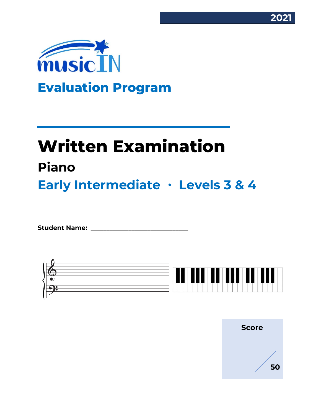



# **Written Examination Piano Early Intermediate ∙ Levels 3 & 4**

Student Name:



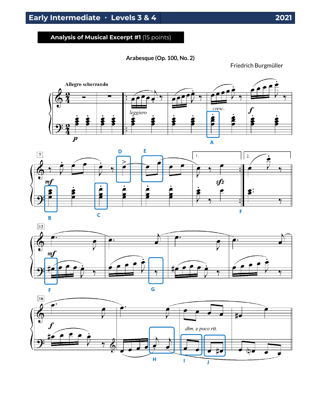## **Analysis of Musical Excerpt #1** (15 points)

**Arabesque (Op. 100, No. 2)**

Friedrich Burgmüller







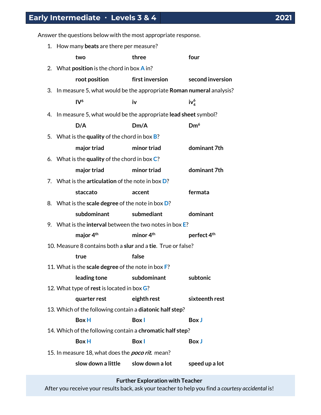Answer the questions below with the most appropriate response.

|  | 1. How many beats are there per measure?                               |                                    |                         |
|--|------------------------------------------------------------------------|------------------------------------|-------------------------|
|  | two                                                                    | three                              | four                    |
|  | 2. What <b>position</b> is the chord in box $\bf{A}$ in?               |                                    |                         |
|  | root position                                                          | first inversion                    | second inversion        |
|  | 3. In measure 5, what would be the appropriate Roman numeral analysis? |                                    |                         |
|  | IV <sup>6</sup>                                                        | iv                                 | $iv_4^6$                |
|  | 4. In measure 5, what would be the appropriate lead sheet symbol?      |                                    |                         |
|  | D/A                                                                    | Dm/A                               | Dm <sup>6</sup>         |
|  | 5. What is the quality of the chord in box $B$ ?                       |                                    |                         |
|  | major triad                                                            | minor triad                        | dominant 7th            |
|  | 6. What is the quality of the chord in box $C$ ?                       |                                    |                         |
|  | major triad                                                            | minor triad                        | dominant 7th            |
|  | 7. What is the articulation of the note in box $D$ ?                   |                                    |                         |
|  | staccato                                                               | accent                             | fermata                 |
|  | 8. What is the scale degree of the note in box D?                      |                                    |                         |
|  | subdominant                                                            | submediant                         | dominant                |
|  | 9. What is the interval between the two notes in box $E$ ?             |                                    |                         |
|  | major 4 <sup>th</sup>                                                  | minor 4 <sup>th</sup>              | perfect 4 <sup>th</sup> |
|  | 10. Measure 8 contains both a slur and a tie. True or false?           |                                    |                         |
|  | true                                                                   | false                              |                         |
|  | 11. What is the scale degree of the note in box F?                     |                                    |                         |
|  | leading tone subdominant                                               |                                    | subtonic                |
|  | 12. What type of rest is located in box G?                             |                                    |                         |
|  | quarter rest                                                           | eighth rest                        | sixteenth rest          |
|  | 13. Which of the following contain a diatonic half step?               |                                    |                         |
|  | <b>Box H</b>                                                           | <b>Box</b> I                       | <b>Box J</b>            |
|  | 14. Which of the following contain a chromatic half step?              |                                    |                         |
|  | <b>Box H</b>                                                           | <b>Box</b>                         | <b>Box J</b>            |
|  | 15. In measure 18, what does the <i>poco rit.</i> mean?                |                                    |                         |
|  |                                                                        | slow down a little slow down a lot | speed up a lot          |

After you receive your results back, ask your teacher to help you find a *courtesy accidental* is!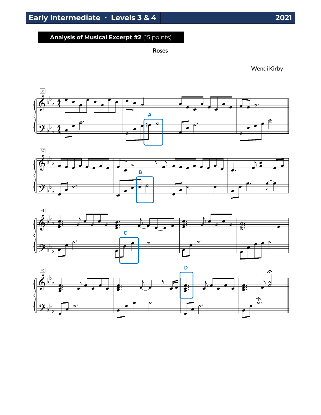## **Analysis of Musical Excerpt #2** (15 points)

**Roses**

Wendi Kirby







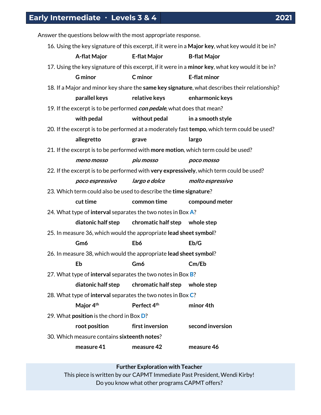Answer the questions below with the most appropriate response.

|                                                                                                  |                                                   | 16. Using the key signature of this excerpt, if it were in a Major key, what key would it be in? |  |  |  |
|--------------------------------------------------------------------------------------------------|---------------------------------------------------|--------------------------------------------------------------------------------------------------|--|--|--|
| A-flat Major                                                                                     | <b>E-flat Major</b>                               | <b>B-flat Major</b>                                                                              |  |  |  |
| 17. Using the key signature of this excerpt, if it were in a minor key, what key would it be in? |                                                   |                                                                                                  |  |  |  |
| <b>G</b> minor                                                                                   | C minor                                           | <b>E-flat minor</b>                                                                              |  |  |  |
|                                                                                                  |                                                   | 18. If a Major and minor key share the same key signature, what describes their relationship?    |  |  |  |
| parallel keys                                                                                    | relative keys                                     | enharmonic keys                                                                                  |  |  |  |
| 19. If the excerpt is to be performed <i>con pedale</i> , what does that mean?                   |                                                   |                                                                                                  |  |  |  |
| with pedal                                                                                       | without pedal                                     | in a smooth style                                                                                |  |  |  |
|                                                                                                  |                                                   | 20. If the excerpt is to be performed at a moderately fast tempo, which term could be used?      |  |  |  |
| allegretto                                                                                       | grave                                             | largo                                                                                            |  |  |  |
| 21. If the excerpt is to be performed with more motion, which term could be used?                |                                                   |                                                                                                  |  |  |  |
| meno mosso                                                                                       | piu mosso                                         | poco mosso                                                                                       |  |  |  |
| 22. If the excerpt is to be performed with very expressively, which term could be used?          |                                                   |                                                                                                  |  |  |  |
| poco espressivo                                                                                  | largo e dolce                                     | molto espressivo                                                                                 |  |  |  |
| 23. Which term could also be used to describe the time signature?                                |                                                   |                                                                                                  |  |  |  |
| cut time                                                                                         | common time                                       | compound meter                                                                                   |  |  |  |
| 24. What type of interval separates the two notes in Box A?                                      |                                                   |                                                                                                  |  |  |  |
| diatonic half step                                                                               | chromatic half step whole step                    |                                                                                                  |  |  |  |
| 25. In measure 36, which would the appropriate lead sheet symbol?                                |                                                   |                                                                                                  |  |  |  |
| Gm6                                                                                              | Eb6                                               | Eb/G                                                                                             |  |  |  |
| 26. In measure 38, which would the appropriate lead sheet symbol?                                |                                                   |                                                                                                  |  |  |  |
| Eb                                                                                               | Gm6                                               | Cm/Eb                                                                                            |  |  |  |
| 27. What type of interval separates the two notes in Box B?                                      |                                                   |                                                                                                  |  |  |  |
|                                                                                                  | diatonic half step chromatic half step whole step |                                                                                                  |  |  |  |
| 28. What type of interval separates the two notes in Box C?                                      |                                                   |                                                                                                  |  |  |  |
| Major 4 <sup>th</sup>                                                                            | Perfect 4th                                       | minor 4th                                                                                        |  |  |  |
| 29. What position is the chord in Box D?                                                         |                                                   |                                                                                                  |  |  |  |
| root position                                                                                    | first inversion                                   | second inversion                                                                                 |  |  |  |
| 30. Which measure contains sixteenth notes?                                                      |                                                   |                                                                                                  |  |  |  |
| measure 41                                                                                       | measure 42                                        | measure 46                                                                                       |  |  |  |

**Further Exploration with Teacher** This piece is written by our CAPMT Immediate Past President, Wendi Kirby! Do you know what other programs CAPMT offers?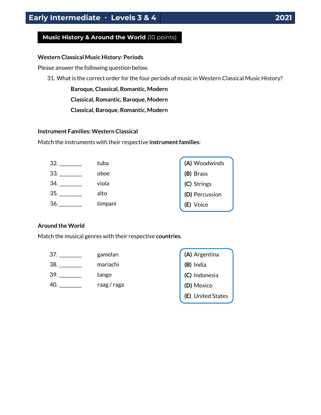## **Music History & Around the World** (10 points)

#### **Western Classical Music History: Periods**

Please answer the following question below.

31. What is the correct order for the four periods of music in Western Classical Music History?

**Baroque, Classical, Romantic, Modern**

**Classical, Romantic, Baroque, Modern**

**Classical, Baroque, Romantic, Modern**

#### **Instrument Families: Western Classical**

Match the instruments with their respective **instrument families**:

| 32. | tuba    | (A) Woodwinds                 |
|-----|---------|-------------------------------|
| 33. | oboe    | (B) Brass                     |
| 34. | viola   | (C) Strings<br>(D) Percussion |
| 35. | alto    |                               |
| 36. | timpani | E)<br>Voice                   |

#### **Around the World**

Match the musical genres with their respective **countries**.

- 37. \_\_\_\_\_\_\_\_\_\_ gamelan 38. \_\_\_\_\_\_\_\_\_\_ mariachi
- 39. \_\_\_\_\_\_\_\_\_\_ tango
- 40. \_\_\_\_\_\_\_\_\_\_ raag / raga

| (A) Argentina     |
|-------------------|
| (B) India         |
| (C) Indonesia     |
| (D) Mexico        |
| (E) United States |